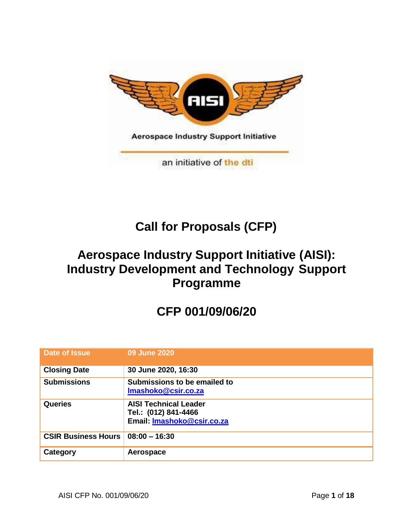

# **Call for Proposals (CFP)**

# **Aerospace Industry Support Initiative (AISI): Industry Development and Technology Support Programme**

# **CFP 001/09/06/20**

| Date of Issue              | 09 June 2020                                                                       |
|----------------------------|------------------------------------------------------------------------------------|
| <b>Closing Date</b>        | 30 June 2020, 16:30                                                                |
| <b>Submissions</b>         | Submissions to be emailed to<br>Imashoko@csir.co.za                                |
| <b>Queries</b>             | <b>AISI Technical Leader</b><br>Tel.: (012) 841-4466<br>Email: Imashoko@csir.co.za |
| <b>CSIR Business Hours</b> | $08:00 - 16:30$                                                                    |
| Category                   | Aerospace                                                                          |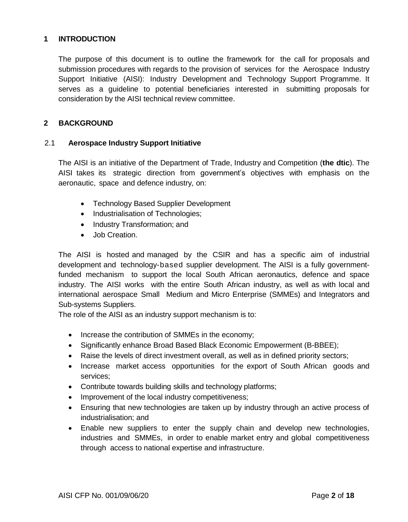#### **1 INTRODUCTION**

The purpose of this document is to outline the framework for the call for proposals and submission procedures with regards to the provision of services for the Aerospace Industry Support Initiative (AISI): Industry Development and Technology Support Programme. It serves as a guideline to potential beneficiaries interested in submitting proposals for consideration by the AISI technical review committee.

# **2 BACKGROUND**

#### 2.1 **Aerospace Industry Support Initiative**

The AISI is an initiative of the Department of Trade, Industry and Competition (**the dtic**). The AISI takes its strategic direction from government's objectives with emphasis on the aeronautic, space and defence industry, on:

- Technology Based Supplier Development
- Industrialisation of Technologies;
- Industry Transformation; and
- Job Creation.

The AISI is hosted and managed by the CSIR and has a specific aim of industrial development and technology-based supplier development. The AISI is a fully governmentfunded mechanism to support the local South African aeronautics, defence and space industry. The AISI works with the entire South African industry, as well as with local and international aerospace Small Medium and Micro Enterprise (SMMEs) and Integrators and Sub-systems Suppliers.

The role of the AISI as an industry support mechanism is to:

- Increase the contribution of SMMEs in the economy;
- Significantly enhance Broad Based Black Economic Empowerment (B-BBEE);
- Raise the levels of direct investment overall, as well as in defined priority sectors;
- Increase market access opportunities for the export of South African goods and services;
- Contribute towards building skills and technology platforms;
- Improvement of the local industry competitiveness;
- Ensuring that new technologies are taken up by industry through an active process of industrialisation; and
- Enable new suppliers to enter the supply chain and develop new technologies, industries and SMMEs, in order to enable market entry and global competitiveness through access to national expertise and infrastructure.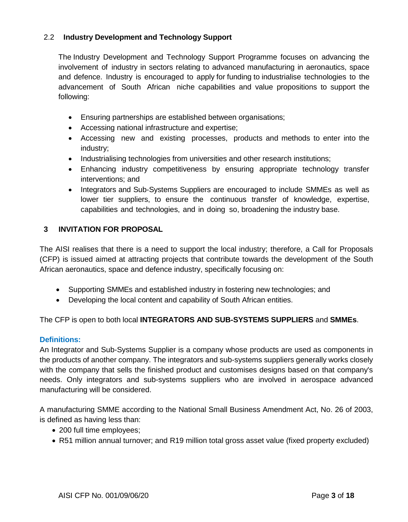# 2.2 **Industry Development and Technology Support**

The Industry Development and Technology Support Programme focuses on advancing the involvement of industry in sectors relating to advanced manufacturing in aeronautics, space and defence. Industry is encouraged to apply for funding to industrialise technologies to the advancement of South African niche capabilities and value propositions to support the following:

- Ensuring partnerships are established between organisations;
- Accessing national infrastructure and expertise;
- Accessing new and existing processes, products and methods to enter into the industry;
- Industrialising technologies from universities and other research institutions;
- Enhancing industry competitiveness by ensuring appropriate technology transfer interventions; and
- Integrators and Sub-Systems Suppliers are encouraged to include SMMEs as well as lower tier suppliers, to ensure the continuous transfer of knowledge, expertise, capabilities and technologies, and in doing so, broadening the industry base.

# **3 INVITATION FOR PROPOSAL**

The AISI realises that there is a need to support the local industry; therefore, a Call for Proposals (CFP) is issued aimed at attracting projects that contribute towards the development of the South African aeronautics, space and defence industry, specifically focusing on:

- Supporting SMMEs and established industry in fostering new technologies; and
- Developing the local content and capability of South African entities.

The CFP is open to both local **INTEGRATORS AND SUB-SYSTEMS SUPPLIERS** and **SMMEs**.

# **Definitions:**

An Integrator and Sub-Systems Supplier is a company whose products are used as components in the products of another company. The integrators and sub-systems suppliers generally works closely with the company that sells the finished product and customises designs based on that company's needs. Only integrators and sub-systems suppliers who are involved in aerospace advanced manufacturing will be considered.

A manufacturing SMME according to the National Small Business Amendment Act, No. 26 of 2003, is defined as having less than:

- 200 full time employees;
- R51 million annual turnover; and R19 million total gross asset value (fixed property excluded)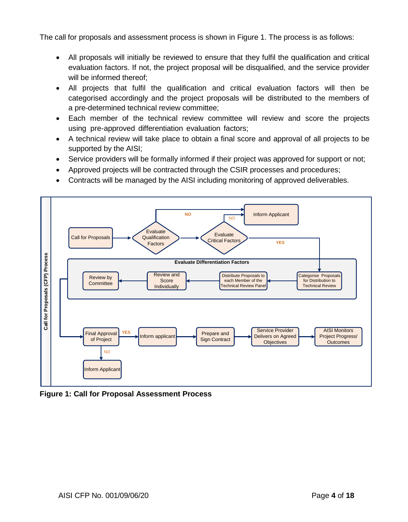The call for proposals and assessment process is shown in Figure 1. The process is as follows:

- All proposals will initially be reviewed to ensure that they fulfil the qualification and critical evaluation factors. If not, the project proposal will be disqualified, and the service provider will be informed thereof;
- All projects that fulfil the qualification and critical evaluation factors will then be categorised accordingly and the project proposals will be distributed to the members of a pre-determined technical review committee;
- Each member of the technical review committee will review and score the projects using pre-approved differentiation evaluation factors;
- A technical review will take place to obtain a final score and approval of all projects to be supported by the AISI;
- Service providers will be formally informed if their project was approved for support or not;
- Approved projects will be contracted through the CSIR processes and procedures;
- Contracts will be managed by the AISI including monitoring of approved deliverables.



**Figure 1: Call for Proposal Assessment Process**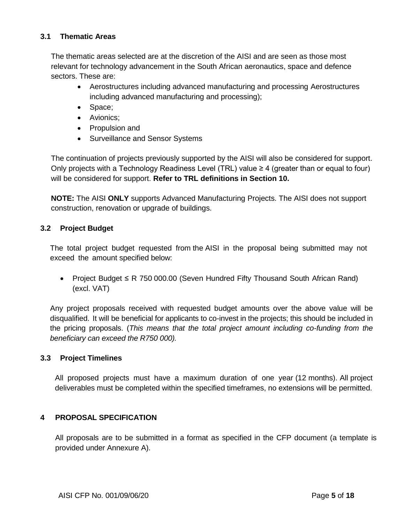# **3.1 Thematic Areas**

The thematic areas selected are at the discretion of the AISI and are seen as those most relevant for technology advancement in the South African aeronautics, space and defence sectors. These are:

- Aerostructures including advanced manufacturing and processing Aerostructures including advanced manufacturing and processing);
- Space;
- Avionics;
- Propulsion and
- Surveillance and Sensor Systems

The continuation of projects previously supported by the AISI will also be considered for support. Only projects with a Technology Readiness Level (TRL) value  $\geq 4$  (greater than or equal to four) will be considered for support. **Refer to TRL definitions in Section 10.**

**NOTE:** The AISI **ONLY** supports Advanced Manufacturing Projects. The AISI does not support construction, renovation or upgrade of buildings.

# **3.2 Project Budget**

The total project budget requested from the AISI in the proposal being submitted may not exceed the amount specified below:

 Project Budget ≤ R 750 000.00 (Seven Hundred Fifty Thousand South African Rand) (excl. VAT)

Any project proposals received with requested budget amounts over the above value will be disqualified. It will be beneficial for applicants to co-invest in the projects; this should be included in the pricing proposals. (*This means that the total project amount including co-funding from the beneficiary can exceed the R750 000).*

#### **3.3 Project Timelines**

All proposed projects must have a maximum duration of one year (12 months). All project deliverables must be completed within the specified timeframes, no extensions will be permitted.

# **4 PROPOSAL SPECIFICATION**

All proposals are to be submitted in a format as specified in the CFP document (a template is provided under Annexure A).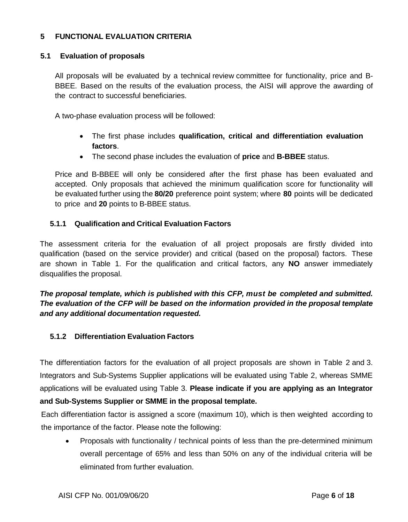# **5 FUNCTIONAL EVALUATION CRITERIA**

#### **5.1 Evaluation of proposals**

All proposals will be evaluated by a technical review committee for functionality, price and B-BBEE. Based on the results of the evaluation process, the AISI will approve the awarding of the contract to successful beneficiaries.

A two-phase evaluation process will be followed:

- The first phase includes **qualification, critical and differentiation evaluation factors**.
- The second phase includes the evaluation of **price** and **B-BBEE** status.

Price and B-BBEE will only be considered after the first phase has been evaluated and accepted. Only proposals that achieved the minimum qualification score for functionality will be evaluated further using the **80/20** preference point system; where **80** points will be dedicated to price and **20** points to B-BBEE status.

#### **5.1.1 Qualification and Critical Evaluation Factors**

The assessment criteria for the evaluation of all project proposals are firstly divided into qualification (based on the service provider) and critical (based on the proposal) factors. These are shown in Table 1. For the qualification and critical factors, any **NO** answer immediately disqualifies the proposal.

*The proposal template, which is published with this CFP, must be completed and submitted. The evaluation of the CFP will be based on the information provided in the proposal template and any additional documentation requested.*

#### **5.1.2 Differentiation Evaluation Factors**

The differentiation factors for the evaluation of all project proposals are shown in Table 2 and 3. Integrators and Sub-Systems Supplier applications will be evaluated using Table 2, whereas SMME applications will be evaluated using Table 3. **Please indicate if you are applying as an Integrator and Sub-Systems Supplier or SMME in the proposal template.**

Each differentiation factor is assigned a score (maximum 10), which is then weighted according to the importance of the factor. Please note the following:

 Proposals with functionality / technical points of less than the pre-determined minimum overall percentage of 65% and less than 50% on any of the individual criteria will be eliminated from further evaluation.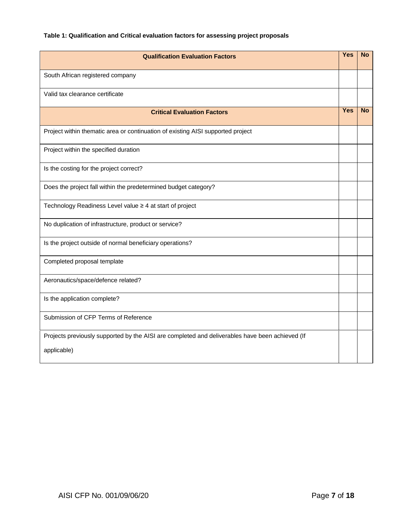# **Table 1: Qualification and Critical evaluation factors for assessing project proposals**

| <b>Qualification Evaluation Factors</b>                                                         | <b>Yes</b> | <b>No</b> |
|-------------------------------------------------------------------------------------------------|------------|-----------|
| South African registered company                                                                |            |           |
| Valid tax clearance certificate                                                                 |            |           |
| <b>Critical Evaluation Factors</b>                                                              | <b>Yes</b> | <b>No</b> |
| Project within thematic area or continuation of existing AISI supported project                 |            |           |
| Project within the specified duration                                                           |            |           |
| Is the costing for the project correct?                                                         |            |           |
| Does the project fall within the predetermined budget category?                                 |            |           |
| Technology Readiness Level value ≥ 4 at start of project                                        |            |           |
| No duplication of infrastructure, product or service?                                           |            |           |
| Is the project outside of normal beneficiary operations?                                        |            |           |
| Completed proposal template                                                                     |            |           |
| Aeronautics/space/defence related?                                                              |            |           |
| Is the application complete?                                                                    |            |           |
| Submission of CFP Terms of Reference                                                            |            |           |
| Projects previously supported by the AISI are completed and deliverables have been achieved (If |            |           |
| applicable)                                                                                     |            |           |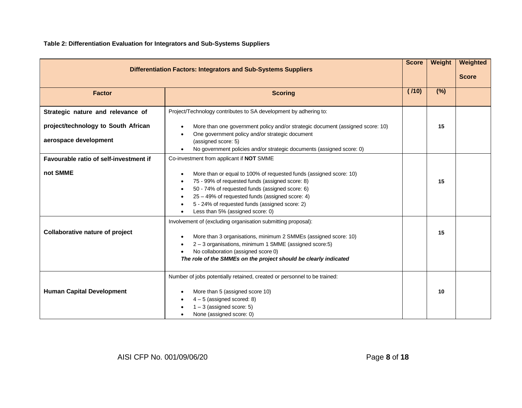**Table 2: Differentiation Evaluation for Integrators and Sub-Systems Suppliers**

|                                                                       |                                                                                                                                                                                                                                                                                                                                                                            | <b>Score</b> | Weight | Weighted     |
|-----------------------------------------------------------------------|----------------------------------------------------------------------------------------------------------------------------------------------------------------------------------------------------------------------------------------------------------------------------------------------------------------------------------------------------------------------------|--------------|--------|--------------|
| <b>Differentiation Factors: Integrators and Sub-Systems Suppliers</b> |                                                                                                                                                                                                                                                                                                                                                                            |              |        | <b>Score</b> |
| <b>Factor</b>                                                         | <b>Scoring</b>                                                                                                                                                                                                                                                                                                                                                             | (110)        | (%)    |              |
| Strategic nature and relevance of                                     | Project/Technology contributes to SA development by adhering to:                                                                                                                                                                                                                                                                                                           |              |        |              |
| project/technology to South African<br>aerospace development          | More than one government policy and/or strategic document (assigned score: 10)<br>$\bullet$<br>One government policy and/or strategic document<br>$\bullet$<br>(assigned score: 5)                                                                                                                                                                                         |              | 15     |              |
|                                                                       | No government policies and/or strategic documents (assigned score: 0)<br>$\bullet$                                                                                                                                                                                                                                                                                         |              |        |              |
| Favourable ratio of self-investment if                                | Co-investment from applicant if NOT SMME                                                                                                                                                                                                                                                                                                                                   |              |        |              |
| not SMME                                                              | More than or equal to 100% of requested funds (assigned score: 10)<br>$\bullet$<br>75 - 99% of requested funds (assigned score: 8)<br>$\bullet$<br>50 - 74% of requested funds (assigned score: 6)<br>$\bullet$<br>25 - 49% of requested funds (assigned score: 4)<br>$\bullet$<br>5 - 24% of requested funds (assigned score: 2)<br>٠<br>Less than 5% (assigned score: 0) |              | 15     |              |
| <b>Collaborative nature of project</b>                                | Involvement of (excluding organisation submitting proposal):<br>More than 3 organisations, minimum 2 SMMEs (assigned score: 10)<br>$\bullet$<br>2 - 3 organisations, minimum 1 SMME (assigned score:5)<br>$\bullet$<br>No collaboration (assigned score 0)<br>$\bullet$<br>The role of the SMMEs on the project should be clearly indicated                                |              | 15     |              |
| <b>Human Capital Development</b>                                      | Number of jobs potentially retained, created or personnel to be trained:<br>More than 5 (assigned score 10)<br>$\bullet$<br>$4-5$ (assigned scored: 8)<br>$1 - 3$ (assigned score: 5)<br>None (assigned score: 0)                                                                                                                                                          |              | 10     |              |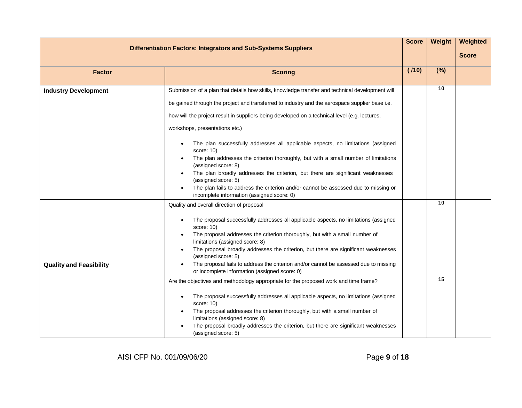| <b>Differentiation Factors: Integrators and Sub-Systems Suppliers</b> |                                                                                                                                       | <b>Score</b> | Weight          | Weighted     |
|-----------------------------------------------------------------------|---------------------------------------------------------------------------------------------------------------------------------------|--------------|-----------------|--------------|
|                                                                       |                                                                                                                                       |              |                 | <b>Score</b> |
| <b>Factor</b><br><b>Scoring</b>                                       |                                                                                                                                       | (110)        | (%)             |              |
|                                                                       |                                                                                                                                       |              |                 |              |
| <b>Industry Development</b>                                           | Submission of a plan that details how skills, knowledge transfer and technical development will                                       |              | $\overline{10}$ |              |
|                                                                       | be gained through the project and transferred to industry and the aerospace supplier base i.e.                                        |              |                 |              |
|                                                                       | how will the project result in suppliers being developed on a technical level (e.g. lectures,                                         |              |                 |              |
|                                                                       | workshops, presentations etc.)                                                                                                        |              |                 |              |
|                                                                       | The plan successfully addresses all applicable aspects, no limitations (assigned<br>$\bullet$<br>score: 10)                           |              |                 |              |
|                                                                       | The plan addresses the criterion thoroughly, but with a small number of limitations<br>(assigned score: 8)                            |              |                 |              |
|                                                                       | The plan broadly addresses the criterion, but there are significant weaknesses<br>(assigned score: 5)                                 |              |                 |              |
|                                                                       | The plan fails to address the criterion and/or cannot be assessed due to missing or                                                   |              |                 |              |
|                                                                       | incomplete information (assigned score: 0)                                                                                            |              | $\overline{10}$ |              |
|                                                                       | Quality and overall direction of proposal                                                                                             |              |                 |              |
|                                                                       | The proposal successfully addresses all applicable aspects, no limitations (assigned<br>$\bullet$<br>score: 10)                       |              |                 |              |
|                                                                       | The proposal addresses the criterion thoroughly, but with a small number of<br>limitations (assigned score: 8)                        |              |                 |              |
|                                                                       | The proposal broadly addresses the criterion, but there are significant weaknesses<br>(assigned score: 5)                             |              |                 |              |
| <b>Quality and Feasibility</b>                                        | The proposal fails to address the criterion and/or cannot be assessed due to missing<br>or incomplete information (assigned score: 0) |              |                 |              |
|                                                                       | Are the objectives and methodology appropriate for the proposed work and time frame?                                                  |              | $\overline{15}$ |              |
|                                                                       | The proposal successfully addresses all applicable aspects, no limitations (assigned<br>$\bullet$<br>score: 10)                       |              |                 |              |
|                                                                       | The proposal addresses the criterion thoroughly, but with a small number of<br>limitations (assigned score: 8)                        |              |                 |              |
|                                                                       | The proposal broadly addresses the criterion, but there are significant weaknesses<br>(assigned score: 5)                             |              |                 |              |

AISI CFP No. 001/09/06/20 Page **9** of **18**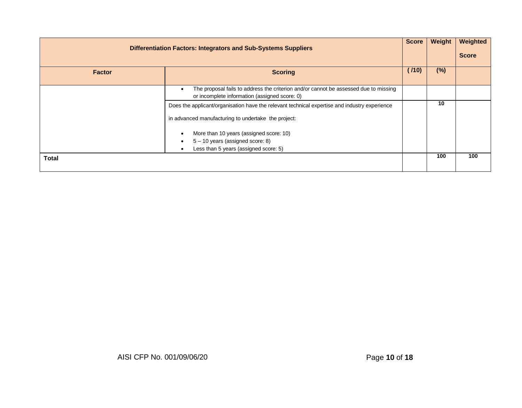| <b>Differentiation Factors: Integrators and Sub-Systems Suppliers</b> |                                                                                                                                       | Score | Weight | Weighted<br><b>Score</b> |
|-----------------------------------------------------------------------|---------------------------------------------------------------------------------------------------------------------------------------|-------|--------|--------------------------|
| <b>Factor</b>                                                         | <b>Scoring</b>                                                                                                                        | (110) | $(\%)$ |                          |
|                                                                       | The proposal fails to address the criterion and/or cannot be assessed due to missing<br>or incomplete information (assigned score: 0) |       |        |                          |
|                                                                       | Does the applicant/organisation have the relevant technical expertise and industry experience                                         |       | 10     |                          |
|                                                                       | in advanced manufacturing to undertake the project:                                                                                   |       |        |                          |
|                                                                       | More than 10 years (assigned score: 10)<br>$\bullet$                                                                                  |       |        |                          |
|                                                                       | $5 - 10$ years (assigned score: 8)<br>$\bullet$                                                                                       |       |        |                          |
|                                                                       | Less than 5 years (assigned score: 5)<br>$\bullet$                                                                                    |       |        |                          |
| Total                                                                 |                                                                                                                                       |       | 100    | 100                      |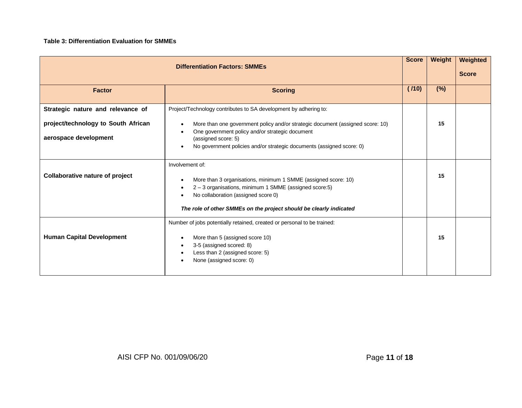#### **Table 3: Differentiation Evaluation for SMMEs**

| <b>Differentiation Factors: SMMEs</b>                                                             |                                                                                                                                                                                                                                                                                                                                              | <b>Score</b> | Weight | Weighted<br><b>Score</b> |
|---------------------------------------------------------------------------------------------------|----------------------------------------------------------------------------------------------------------------------------------------------------------------------------------------------------------------------------------------------------------------------------------------------------------------------------------------------|--------------|--------|--------------------------|
| <b>Factor</b>                                                                                     | <b>Scoring</b>                                                                                                                                                                                                                                                                                                                               |              | (%)    |                          |
| Strategic nature and relevance of<br>project/technology to South African<br>aerospace development | Project/Technology contributes to SA development by adhering to:<br>More than one government policy and/or strategic document (assigned score: 10)<br>$\bullet$<br>One government policy and/or strategic document<br>$\bullet$<br>(assigned score: 5)<br>No government policies and/or strategic documents (assigned score: 0)<br>$\bullet$ |              | 15     |                          |
| <b>Collaborative nature of project</b>                                                            | Involvement of:<br>More than 3 organisations, minimum 1 SMME (assigned score: 10)<br>$\bullet$<br>2 - 3 organisations, minimum 1 SMME (assigned score:5)<br>$\bullet$<br>No collaboration (assigned score 0)<br>$\bullet$<br>The role of other SMMEs on the project should be clearly indicated                                              |              | 15     |                          |
| <b>Human Capital Development</b>                                                                  | Number of jobs potentially retained, created or personal to be trained:<br>More than 5 (assigned score 10)<br>$\bullet$<br>3-5 (assigned scored: 8)<br>$\bullet$<br>Less than 2 (assigned score: 5)<br>$\bullet$<br>None (assigned score: 0)                                                                                                 |              | 15     |                          |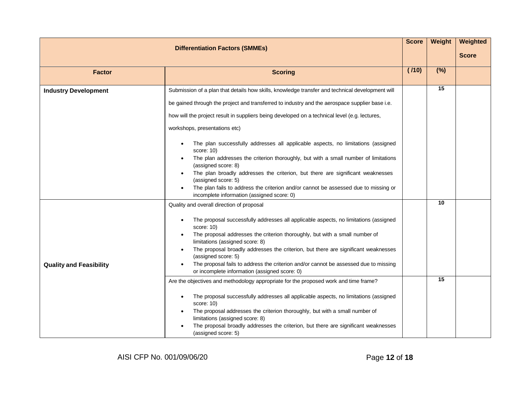| <b>Differentiation Factors (SMMEs)</b>                                                                                                                   |                                                                                                                                                                                                                                                                                                                                                                                                                                                                                                                                                                                                                                                    | <b>Score</b> | Weight          | Weighted     |
|----------------------------------------------------------------------------------------------------------------------------------------------------------|----------------------------------------------------------------------------------------------------------------------------------------------------------------------------------------------------------------------------------------------------------------------------------------------------------------------------------------------------------------------------------------------------------------------------------------------------------------------------------------------------------------------------------------------------------------------------------------------------------------------------------------------------|--------------|-----------------|--------------|
|                                                                                                                                                          |                                                                                                                                                                                                                                                                                                                                                                                                                                                                                                                                                                                                                                                    |              |                 | <b>Score</b> |
| <b>Factor</b>                                                                                                                                            | <b>Scoring</b>                                                                                                                                                                                                                                                                                                                                                                                                                                                                                                                                                                                                                                     |              | (%)             |              |
| <b>Industry Development</b>                                                                                                                              | Submission of a plan that details how skills, knowledge transfer and technical development will<br>be gained through the project and transferred to industry and the aerospace supplier base i.e.<br>how will the project result in suppliers being developed on a technical level (e.g. lectures,<br>workshops, presentations etc)<br>The plan successfully addresses all applicable aspects, no limitations (assigned<br>$\bullet$<br>score: 10)<br>The plan addresses the criterion thoroughly, but with a small number of limitations<br>(assigned score: 8)<br>The plan broadly addresses the criterion, but there are significant weaknesses |              | $\overline{15}$ |              |
| (assigned score: 5)<br>The plan fails to address the criterion and/or cannot be assessed due to missing or<br>incomplete information (assigned score: 0) |                                                                                                                                                                                                                                                                                                                                                                                                                                                                                                                                                                                                                                                    |              |                 |              |
| <b>Quality and Feasibility</b>                                                                                                                           | Quality and overall direction of proposal<br>The proposal successfully addresses all applicable aspects, no limitations (assigned<br>$\bullet$<br>score: 10)<br>The proposal addresses the criterion thoroughly, but with a small number of<br>limitations (assigned score: 8)<br>The proposal broadly addresses the criterion, but there are significant weaknesses<br>(assigned score: 5)<br>The proposal fails to address the criterion and/or cannot be assessed due to missing<br>or incomplete information (assigned score: 0)                                                                                                               |              | $\overline{10}$ |              |
|                                                                                                                                                          | Are the objectives and methodology appropriate for the proposed work and time frame?<br>The proposal successfully addresses all applicable aspects, no limitations (assigned<br>$\bullet$<br>score: 10)<br>The proposal addresses the criterion thoroughly, but with a small number of<br>limitations (assigned score: 8)<br>The proposal broadly addresses the criterion, but there are significant weaknesses<br>(assigned score: 5)                                                                                                                                                                                                             |              | $\overline{15}$ |              |

AISI CFP No. 001/09/06/20 Page **12** of **18**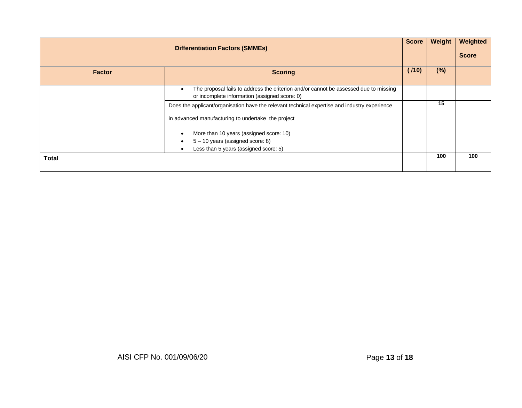| <b>Differentiation Factors (SMMEs)</b> |                                                                                                                                                    | <b>Score</b> | Weight | Weighted<br><b>Score</b> |
|----------------------------------------|----------------------------------------------------------------------------------------------------------------------------------------------------|--------------|--------|--------------------------|
| <b>Factor</b>                          | <b>Scoring</b>                                                                                                                                     | (110)        | $(\%)$ |                          |
|                                        | The proposal fails to address the criterion and/or cannot be assessed due to missing<br>$\bullet$<br>or incomplete information (assigned score: 0) |              |        |                          |
|                                        | Does the applicant/organisation have the relevant technical expertise and industry experience                                                      |              | 15     |                          |
|                                        | in advanced manufacturing to undertake the project                                                                                                 |              |        |                          |
|                                        | More than 10 years (assigned score: 10)<br>$\bullet$                                                                                               |              |        |                          |
|                                        | 5 - 10 years (assigned score: 8)<br>$\bullet$                                                                                                      |              |        |                          |
|                                        | Less than 5 years (assigned score: 5)<br>$\bullet$                                                                                                 |              |        |                          |
| Total                                  |                                                                                                                                                    |              | 100    | 100                      |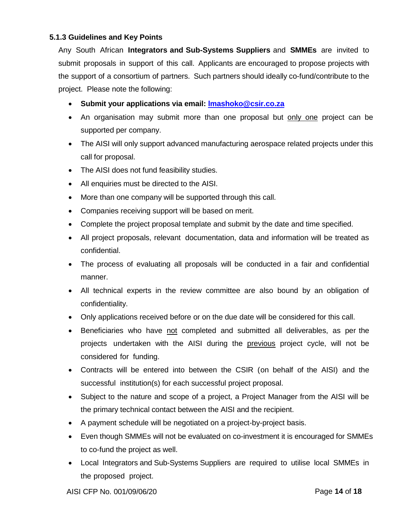# **5.1.3 Guidelines and Key Points**

Any South African **Integrators and Sub-Systems Suppliers** and **SMMEs** are invited to submit proposals in support of this call. Applicants are encouraged to propose projects with the support of a consortium of partners. Such partners should ideally co-fund/contribute to the project. Please note the following:

- **Submit your applications via email: [lmashoko@csir.co.za](mailto:lmashoko@csir.co.za)**
- An organisation may submit more than one proposal but only one project can be supported per company.
- The AISI will only support advanced manufacturing aerospace related projects under this call for proposal.
- The AISI does not fund feasibility studies.
- All enquiries must be directed to the AISI.
- More than one company will be supported through this call.
- Companies receiving support will be based on merit.
- Complete the project proposal template and submit by the date and time specified.
- All project proposals, relevant documentation, data and information will be treated as confidential.
- The process of evaluating all proposals will be conducted in a fair and confidential manner.
- All technical experts in the review committee are also bound by an obligation of confidentiality.
- Only applications received before or on the due date will be considered for this call.
- Beneficiaries who have not completed and submitted all deliverables, as per the projects undertaken with the AISI during the previous project cycle, will not be considered for funding.
- Contracts will be entered into between the CSIR (on behalf of the AISI) and the successful institution(s) for each successful project proposal.
- Subject to the nature and scope of a project, a Project Manager from the AISI will be the primary technical contact between the AISI and the recipient.
- A payment schedule will be negotiated on a project-by-project basis.
- Even though SMMEs will not be evaluated on co-investment it is encouraged for SMMEs to co-fund the project as well.
- Local Integrators and Sub-Systems Suppliers are required to utilise local SMMEs in the proposed project.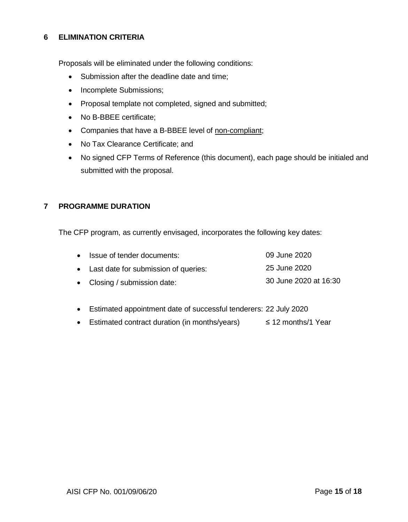# **6 ELIMINATION CRITERIA**

Proposals will be eliminated under the following conditions:

- Submission after the deadline date and time;
- Incomplete Submissions;
- Proposal template not completed, signed and submitted;
- No B-BBEE certificate:
- Companies that have a B-BBEE level of non-compliant;
- No Tax Clearance Certificate; and
- No signed CFP Terms of Reference (this document), each page should be initialed and submitted with the proposal.

## **7 PROGRAMME DURATION**

The CFP program, as currently envisaged, incorporates the following key dates:

| • Issue of tender documents:           | 09 June 2020          |
|----------------------------------------|-----------------------|
| • Last date for submission of queries: | 25 June 2020          |
| • Closing / submission date:           | 30 June 2020 at 16:30 |

- Estimated appointment date of successful tenderers: 22 July 2020
- Estimated contract duration (in months/years) ≤ 12 months/1 Year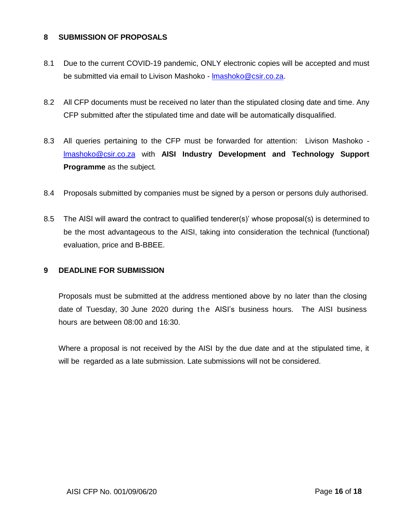### **8 SUBMISSION OF PROPOSALS**

- 8.1 Due to the current COVID-19 pandemic, ONLY electronic copies will be accepted and must be submitted via email to Livison Mashoko - Imashoko@csir.co.za.
- 8.2 All CFP documents must be received no later than the stipulated closing date and time. Any CFP submitted after the stipulated time and date will be automatically disqualified.
- 8.3 All queries pertaining to the CFP must be forwarded for attention: Livison Mashoko [lmashoko@csir.co.za](mailto:lmashoko@csir.co.za) with **AISI Industry Development and Technology Support Programme** as the subject*.*
- 8.4 Proposals submitted by companies must be signed by a person or persons duly authorised.
- 8.5 The AISI will award the contract to qualified tenderer(s)' whose proposal(s) is determined to be the most advantageous to the AISI, taking into consideration the technical (functional) evaluation, price and B-BBEE.

#### **9 DEADLINE FOR SUBMISSION**

Proposals must be submitted at the address mentioned above by no later than the closing date of Tuesday, 30 June 2020 during the AISI's business hours. The AISI business hours are between 08:00 and 16:30.

Where a proposal is not received by the AISI by the due date and at the stipulated time, it will be regarded as a late submission. Late submissions will not be considered.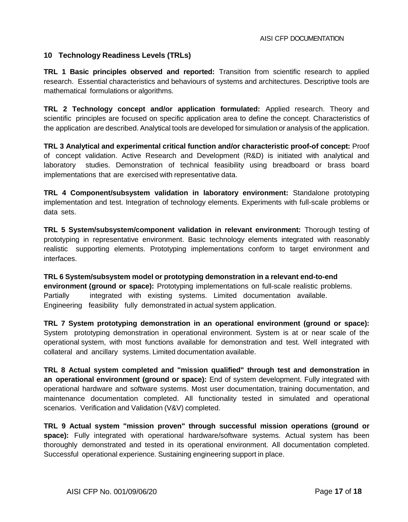#### **10 Technology Readiness Levels (TRLs)**

**TRL 1 Basic principles observed and reported:** Transition from scientific research to applied research. Essential characteristics and behaviours of systems and architectures. Descriptive tools are mathematical formulations or algorithms.

**TRL 2 Technology concept and/or application formulated:** Applied research. Theory and scientific principles are focused on specific application area to define the concept. Characteristics of the application are described. Analytical tools are developed for simulation or analysis of the application.

**TRL 3 Analytical and experimental critical function and/or characteristic proof-of concept:** Proof of concept validation. Active Research and Development (R&D) is initiated with analytical and laboratory studies. Demonstration of technical feasibility using breadboard or brass board implementations that are exercised with representative data.

**TRL 4 Component/subsystem validation in laboratory environment:** Standalone prototyping implementation and test. Integration of technology elements. Experiments with full-scale problems or data sets.

**TRL 5 System/subsystem/component validation in relevant environment:** Thorough testing of prototyping in representative environment. Basic technology elements integrated with reasonably realistic supporting elements. Prototyping implementations conform to target environment and interfaces.

**TRL 6 System/subsystem model or prototyping demonstration in a relevant end-to-end environment (ground or space):** Prototyping implementations on full-scale realistic problems. Partially integrated with existing systems. Limited documentation available. Engineering feasibility fully demonstrated in actual system application.

**TRL 7 System prototyping demonstration in an operational environment (ground or space):** System prototyping demonstration in operational environment. System is at or near scale of the operational system, with most functions available for demonstration and test. Well integrated with collateral and ancillary systems. Limited documentation available.

**TRL 8 Actual system completed and "mission qualified" through test and demonstration in an operational environment (ground or space):** End of system development. Fully integrated with operational hardware and software systems. Most user documentation, training documentation, and maintenance documentation completed. All functionality tested in simulated and operational scenarios. Verification and Validation (V&V) completed.

**TRL 9 Actual system "mission proven" through successful mission operations (ground or space):** Fully integrated with operational hardware/software systems. Actual system has been thoroughly demonstrated and tested in its operational environment. All documentation completed. Successful operational experience. Sustaining engineering support in place.